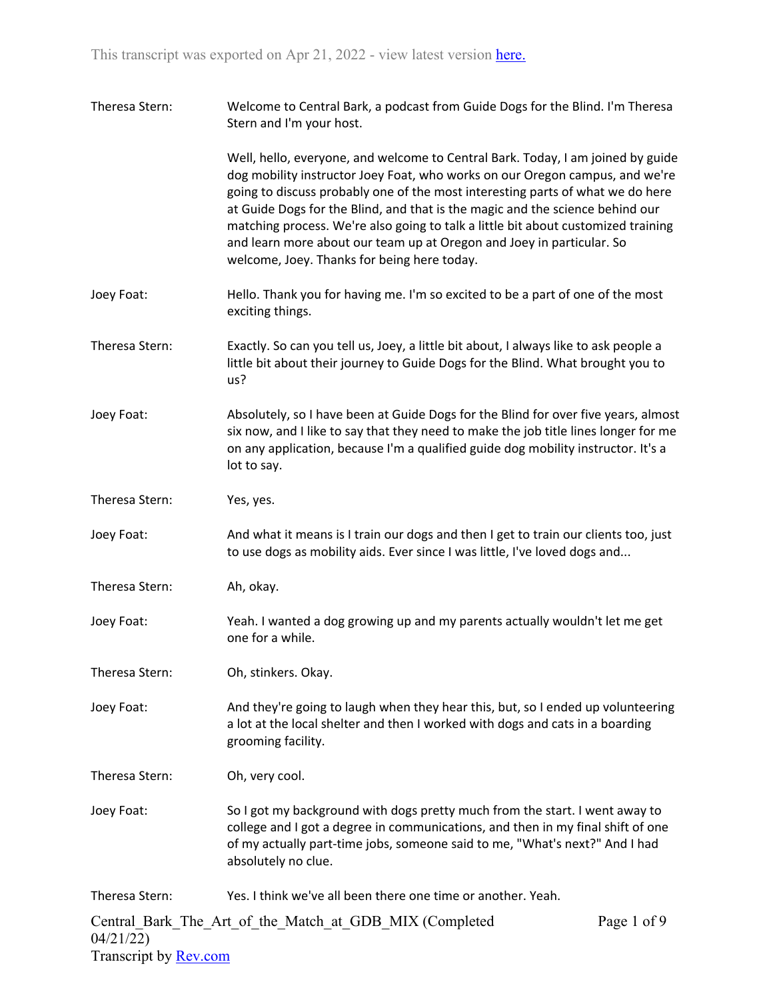| Theresa Stern: | Welcome to Central Bark, a podcast from Guide Dogs for the Blind. I'm Theresa<br>Stern and I'm your host.                                                                                                                                                                                                                                                                                                                                                                                                                                       |  |
|----------------|-------------------------------------------------------------------------------------------------------------------------------------------------------------------------------------------------------------------------------------------------------------------------------------------------------------------------------------------------------------------------------------------------------------------------------------------------------------------------------------------------------------------------------------------------|--|
|                | Well, hello, everyone, and welcome to Central Bark. Today, I am joined by guide<br>dog mobility instructor Joey Foat, who works on our Oregon campus, and we're<br>going to discuss probably one of the most interesting parts of what we do here<br>at Guide Dogs for the Blind, and that is the magic and the science behind our<br>matching process. We're also going to talk a little bit about customized training<br>and learn more about our team up at Oregon and Joey in particular. So<br>welcome, Joey. Thanks for being here today. |  |
| Joey Foat:     | Hello. Thank you for having me. I'm so excited to be a part of one of the most<br>exciting things.                                                                                                                                                                                                                                                                                                                                                                                                                                              |  |
| Theresa Stern: | Exactly. So can you tell us, Joey, a little bit about, I always like to ask people a<br>little bit about their journey to Guide Dogs for the Blind. What brought you to<br>us?                                                                                                                                                                                                                                                                                                                                                                  |  |
| Joey Foat:     | Absolutely, so I have been at Guide Dogs for the Blind for over five years, almost<br>six now, and I like to say that they need to make the job title lines longer for me<br>on any application, because I'm a qualified guide dog mobility instructor. It's a<br>lot to say.                                                                                                                                                                                                                                                                   |  |
| Theresa Stern: | Yes, yes.                                                                                                                                                                                                                                                                                                                                                                                                                                                                                                                                       |  |
| Joey Foat:     | And what it means is I train our dogs and then I get to train our clients too, just<br>to use dogs as mobility aids. Ever since I was little, I've loved dogs and                                                                                                                                                                                                                                                                                                                                                                               |  |
| Theresa Stern: | Ah, okay.                                                                                                                                                                                                                                                                                                                                                                                                                                                                                                                                       |  |
| Joey Foat:     | Yeah. I wanted a dog growing up and my parents actually wouldn't let me get<br>one for a while.                                                                                                                                                                                                                                                                                                                                                                                                                                                 |  |
| Theresa Stern: | Oh, stinkers. Okay.                                                                                                                                                                                                                                                                                                                                                                                                                                                                                                                             |  |
| Joey Foat:     | And they're going to laugh when they hear this, but, so I ended up volunteering<br>a lot at the local shelter and then I worked with dogs and cats in a boarding<br>grooming facility.                                                                                                                                                                                                                                                                                                                                                          |  |
| Theresa Stern: | Oh, very cool.                                                                                                                                                                                                                                                                                                                                                                                                                                                                                                                                  |  |
| Joey Foat:     | So I got my background with dogs pretty much from the start. I went away to<br>college and I got a degree in communications, and then in my final shift of one<br>of my actually part-time jobs, someone said to me, "What's next?" And I had<br>absolutely no clue.                                                                                                                                                                                                                                                                            |  |
| Theresa Stern: | Yes. I think we've all been there one time or another. Yeah.                                                                                                                                                                                                                                                                                                                                                                                                                                                                                    |  |
| 04/21/22)      | Central Bark The Art of the Match at GDB MIX (Completed<br>Page 1 of 9                                                                                                                                                                                                                                                                                                                                                                                                                                                                          |  |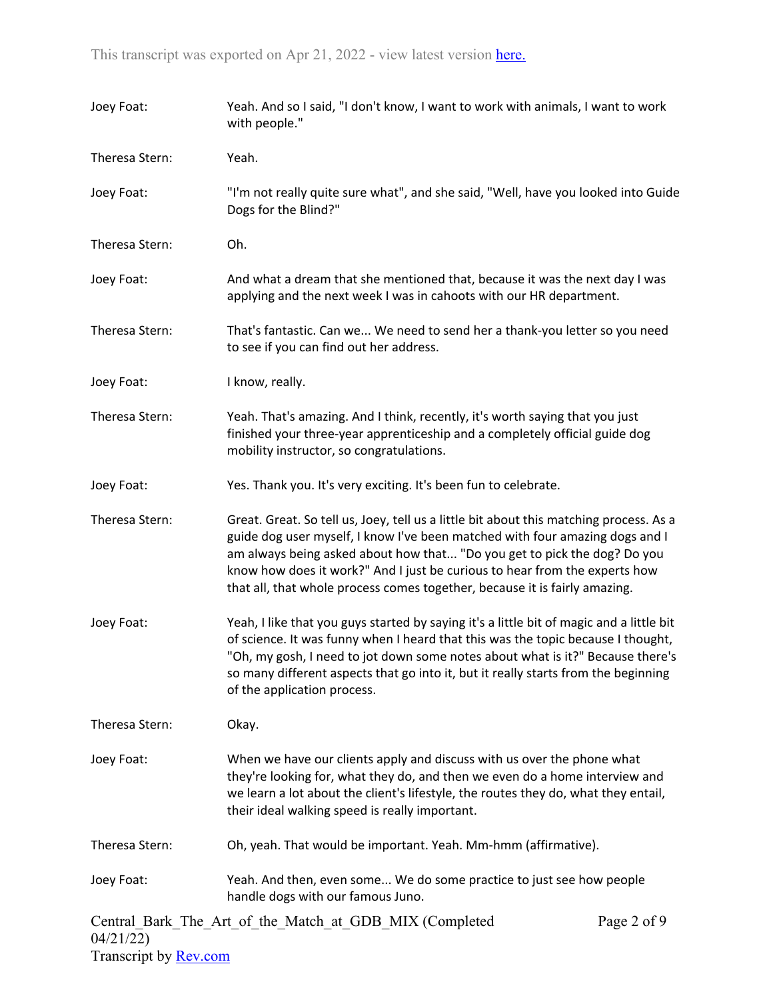| Joey Foat:     | Yeah. And so I said, "I don't know, I want to work with animals, I want to work<br>with people."                                                                                                                                                                                                                                                                                                               |  |
|----------------|----------------------------------------------------------------------------------------------------------------------------------------------------------------------------------------------------------------------------------------------------------------------------------------------------------------------------------------------------------------------------------------------------------------|--|
| Theresa Stern: | Yeah.                                                                                                                                                                                                                                                                                                                                                                                                          |  |
| Joey Foat:     | "I'm not really quite sure what", and she said, "Well, have you looked into Guide<br>Dogs for the Blind?"                                                                                                                                                                                                                                                                                                      |  |
| Theresa Stern: | Oh.                                                                                                                                                                                                                                                                                                                                                                                                            |  |
| Joey Foat:     | And what a dream that she mentioned that, because it was the next day I was<br>applying and the next week I was in cahoots with our HR department.                                                                                                                                                                                                                                                             |  |
| Theresa Stern: | That's fantastic. Can we We need to send her a thank-you letter so you need<br>to see if you can find out her address.                                                                                                                                                                                                                                                                                         |  |
| Joey Foat:     | I know, really.                                                                                                                                                                                                                                                                                                                                                                                                |  |
| Theresa Stern: | Yeah. That's amazing. And I think, recently, it's worth saying that you just<br>finished your three-year apprenticeship and a completely official guide dog<br>mobility instructor, so congratulations.                                                                                                                                                                                                        |  |
| Joey Foat:     | Yes. Thank you. It's very exciting. It's been fun to celebrate.                                                                                                                                                                                                                                                                                                                                                |  |
| Theresa Stern: | Great. Great. So tell us, Joey, tell us a little bit about this matching process. As a<br>guide dog user myself, I know I've been matched with four amazing dogs and I<br>am always being asked about how that "Do you get to pick the dog? Do you<br>know how does it work?" And I just be curious to hear from the experts how<br>that all, that whole process comes together, because it is fairly amazing. |  |
| Joey Foat:     | Yeah, I like that you guys started by saying it's a little bit of magic and a little bit<br>of science. It was funny when I heard that this was the topic because I thought,<br>"Oh, my gosh, I need to jot down some notes about what is it?" Because there's<br>so many different aspects that go into it, but it really starts from the beginning<br>of the application process.                            |  |
| Theresa Stern: | Okay.                                                                                                                                                                                                                                                                                                                                                                                                          |  |
| Joey Foat:     | When we have our clients apply and discuss with us over the phone what<br>they're looking for, what they do, and then we even do a home interview and<br>we learn a lot about the client's lifestyle, the routes they do, what they entail,<br>their ideal walking speed is really important.                                                                                                                  |  |
| Theresa Stern: | Oh, yeah. That would be important. Yeah. Mm-hmm (affirmative).                                                                                                                                                                                                                                                                                                                                                 |  |
| Joey Foat:     | Yeah. And then, even some We do some practice to just see how people<br>handle dogs with our famous Juno.                                                                                                                                                                                                                                                                                                      |  |
| 04/21/22)      | Page 2 of 9<br>Central Bark The Art of the Match at GDB MIX (Completed                                                                                                                                                                                                                                                                                                                                         |  |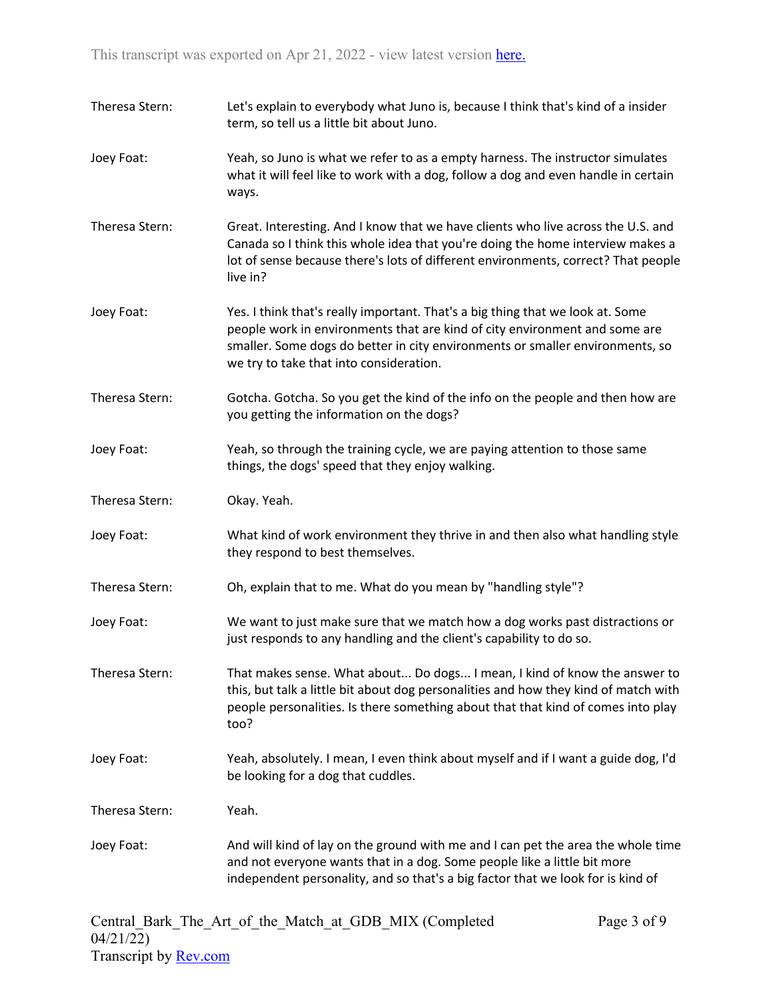| Theresa Stern: | Let's explain to everybody what Juno is, because I think that's kind of a insider<br>term, so tell us a little bit about Juno.                                                                                                                                                           |
|----------------|------------------------------------------------------------------------------------------------------------------------------------------------------------------------------------------------------------------------------------------------------------------------------------------|
| Joey Foat:     | Yeah, so Juno is what we refer to as a empty harness. The instructor simulates<br>what it will feel like to work with a dog, follow a dog and even handle in certain<br>ways.                                                                                                            |
| Theresa Stern: | Great. Interesting. And I know that we have clients who live across the U.S. and<br>Canada so I think this whole idea that you're doing the home interview makes a<br>lot of sense because there's lots of different environments, correct? That people<br>live in?                      |
| Joey Foat:     | Yes. I think that's really important. That's a big thing that we look at. Some<br>people work in environments that are kind of city environment and some are<br>smaller. Some dogs do better in city environments or smaller environments, so<br>we try to take that into consideration. |
| Theresa Stern: | Gotcha. Gotcha. So you get the kind of the info on the people and then how are<br>you getting the information on the dogs?                                                                                                                                                               |
| Joey Foat:     | Yeah, so through the training cycle, we are paying attention to those same<br>things, the dogs' speed that they enjoy walking.                                                                                                                                                           |
| Theresa Stern: | Okay. Yeah.                                                                                                                                                                                                                                                                              |
| Joey Foat:     | What kind of work environment they thrive in and then also what handling style<br>they respond to best themselves.                                                                                                                                                                       |
| Theresa Stern: | Oh, explain that to me. What do you mean by "handling style"?                                                                                                                                                                                                                            |
| Joey Foat:     | We want to just make sure that we match how a dog works past distractions or<br>just responds to any handling and the client's capability to do so.                                                                                                                                      |
| Theresa Stern: | That makes sense. What about Do dogs I mean, I kind of know the answer to<br>this, but talk a little bit about dog personalities and how they kind of match with<br>people personalities. Is there something about that that kind of comes into play<br>too?                             |
| Joey Foat:     | Yeah, absolutely. I mean, I even think about myself and if I want a guide dog, I'd<br>be looking for a dog that cuddles.                                                                                                                                                                 |
| Theresa Stern: | Yeah.                                                                                                                                                                                                                                                                                    |
| Joey Foat:     | And will kind of lay on the ground with me and I can pet the area the whole time<br>and not everyone wants that in a dog. Some people like a little bit more<br>independent personality, and so that's a big factor that we look for is kind of                                          |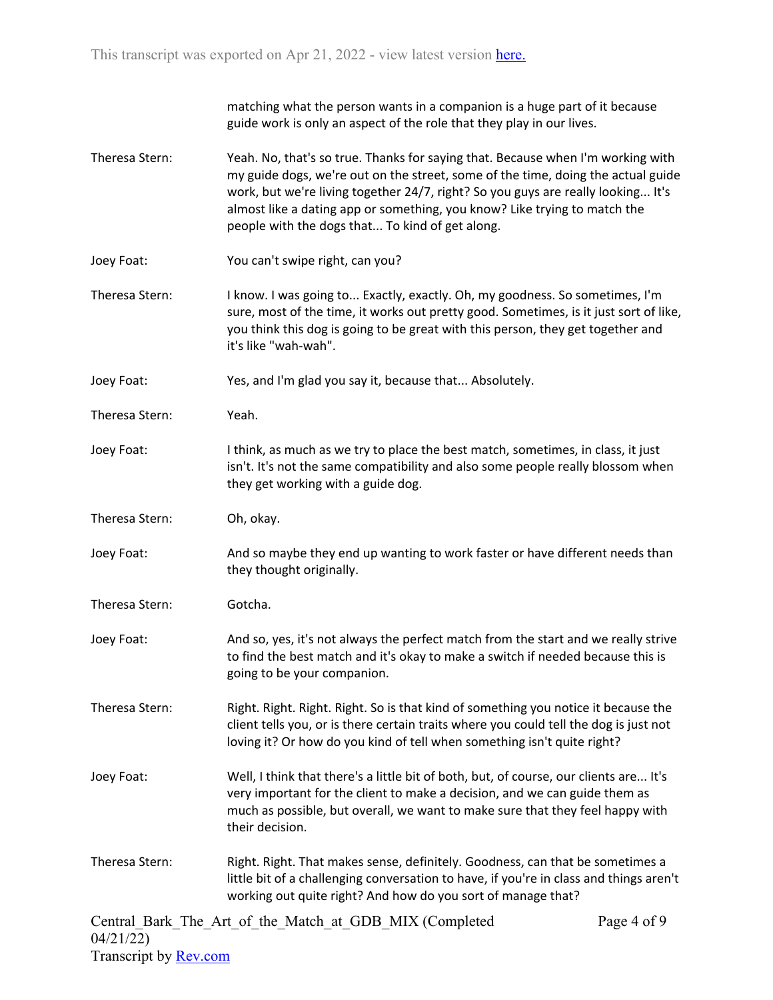matching what the person wants in a companion is a huge part of it because guide work is only an aspect of the role that they play in our lives.

- Theresa Stern: Yeah. No, that's so true. Thanks for saying that. Because when I'm working with my guide dogs, we're out on the street, some of the time, doing the actual guide work, but we're living together 24/7, right? So you guys are really looking... It's almost like a dating app or something, you know? Like trying to match the people with the dogs that... To kind of get along.
- Joey Foat: You can't swipe right, can you?
- Theresa Stern: I know. I was going to... Exactly, exactly. Oh, my goodness. So sometimes, I'm sure, most of the time, it works out pretty good. Sometimes, is it just sort of like, you think this dog is going to be great with this person, they get together and it's like "wah-wah".
- Joey Foat: Yes, and I'm glad you say it, because that... Absolutely.
- Theresa Stern: Yeah.
- Joey Foat: I think, as much as we try to place the best match, sometimes, in class, it just isn't. It's not the same compatibility and also some people really blossom when they get working with a guide dog.
- Theresa Stern: Oh, okay.
- Joey Foat: And so maybe they end up wanting to work faster or have different needs than they thought originally.
- Theresa Stern: Gotcha.
- Joey Foat: And so, yes, it's not always the perfect match from the start and we really strive to find the best match and it's okay to make a switch if needed because this is going to be your companion.
- Theresa Stern: Right. Right. Right. Right. So is that kind of something you notice it because the client tells you, or is there certain traits where you could tell the dog is just not loving it? Or how do you kind of tell when something isn't quite right?
- Joey Foat: Well, I think that there's a little bit of both, but, of course, our clients are... It's very important for the client to make a decision, and we can guide them as much as possible, but overall, we want to make sure that they feel happy with their decision.
- Theresa Stern: Right. Right. That makes sense, definitely. Goodness, can that be sometimes a little bit of a challenging conversation to have, if you're in class and things aren't working out quite right? And how do you sort of manage that?

Page 4 of 9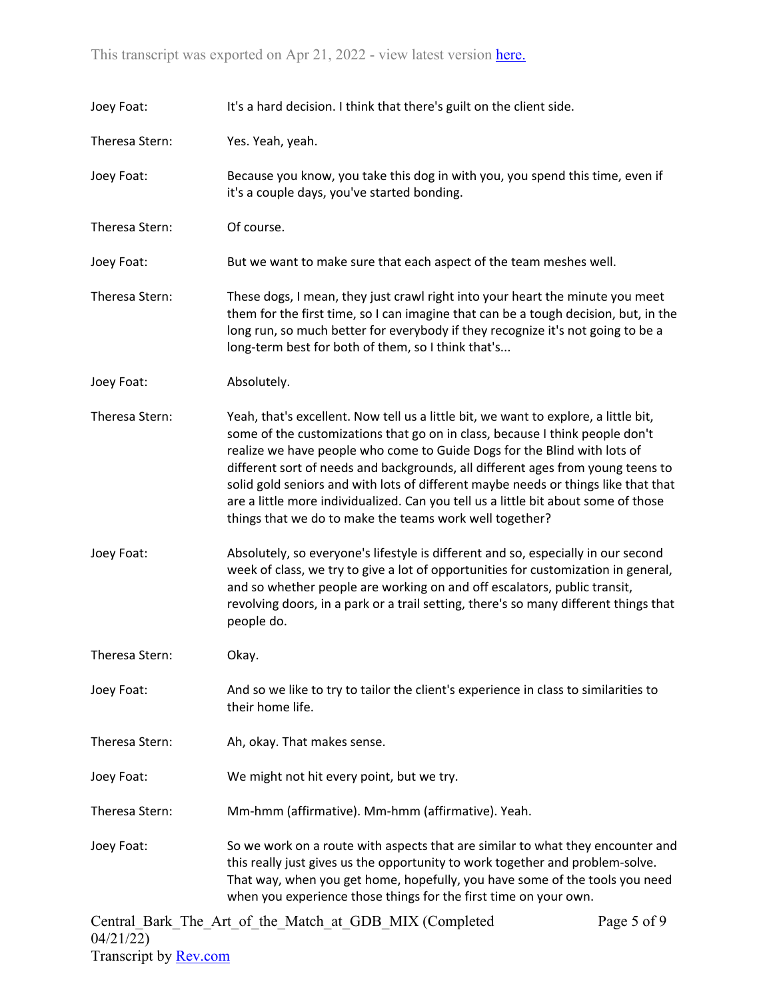| Joey Foat:     | It's a hard decision. I think that there's guilt on the client side.                                                                                                                                                                                                                                                                                                                                                                                                                                                                                                      |             |
|----------------|---------------------------------------------------------------------------------------------------------------------------------------------------------------------------------------------------------------------------------------------------------------------------------------------------------------------------------------------------------------------------------------------------------------------------------------------------------------------------------------------------------------------------------------------------------------------------|-------------|
| Theresa Stern: | Yes. Yeah, yeah.                                                                                                                                                                                                                                                                                                                                                                                                                                                                                                                                                          |             |
| Joey Foat:     | Because you know, you take this dog in with you, you spend this time, even if<br>it's a couple days, you've started bonding.                                                                                                                                                                                                                                                                                                                                                                                                                                              |             |
| Theresa Stern: | Of course.                                                                                                                                                                                                                                                                                                                                                                                                                                                                                                                                                                |             |
| Joey Foat:     | But we want to make sure that each aspect of the team meshes well.                                                                                                                                                                                                                                                                                                                                                                                                                                                                                                        |             |
| Theresa Stern: | These dogs, I mean, they just crawl right into your heart the minute you meet<br>them for the first time, so I can imagine that can be a tough decision, but, in the<br>long run, so much better for everybody if they recognize it's not going to be a<br>long-term best for both of them, so I think that's                                                                                                                                                                                                                                                             |             |
| Joey Foat:     | Absolutely.                                                                                                                                                                                                                                                                                                                                                                                                                                                                                                                                                               |             |
| Theresa Stern: | Yeah, that's excellent. Now tell us a little bit, we want to explore, a little bit,<br>some of the customizations that go on in class, because I think people don't<br>realize we have people who come to Guide Dogs for the Blind with lots of<br>different sort of needs and backgrounds, all different ages from young teens to<br>solid gold seniors and with lots of different maybe needs or things like that that<br>are a little more individualized. Can you tell us a little bit about some of those<br>things that we do to make the teams work well together? |             |
| Joey Foat:     | Absolutely, so everyone's lifestyle is different and so, especially in our second<br>week of class, we try to give a lot of opportunities for customization in general,<br>and so whether people are working on and off escalators, public transit,<br>revolving doors, in a park or a trail setting, there's so many different things that<br>people do.                                                                                                                                                                                                                 |             |
| Theresa Stern: | Okay.                                                                                                                                                                                                                                                                                                                                                                                                                                                                                                                                                                     |             |
| Joey Foat:     | And so we like to try to tailor the client's experience in class to similarities to<br>their home life.                                                                                                                                                                                                                                                                                                                                                                                                                                                                   |             |
| Theresa Stern: | Ah, okay. That makes sense.                                                                                                                                                                                                                                                                                                                                                                                                                                                                                                                                               |             |
| Joey Foat:     | We might not hit every point, but we try.                                                                                                                                                                                                                                                                                                                                                                                                                                                                                                                                 |             |
| Theresa Stern: | Mm-hmm (affirmative). Mm-hmm (affirmative). Yeah.                                                                                                                                                                                                                                                                                                                                                                                                                                                                                                                         |             |
| Joey Foat:     | So we work on a route with aspects that are similar to what they encounter and<br>this really just gives us the opportunity to work together and problem-solve.<br>That way, when you get home, hopefully, you have some of the tools you need<br>when you experience those things for the first time on your own.                                                                                                                                                                                                                                                        |             |
|                | Central Bark The Art of the Match at GDB MIX (Completed                                                                                                                                                                                                                                                                                                                                                                                                                                                                                                                   | Page 5 of 9 |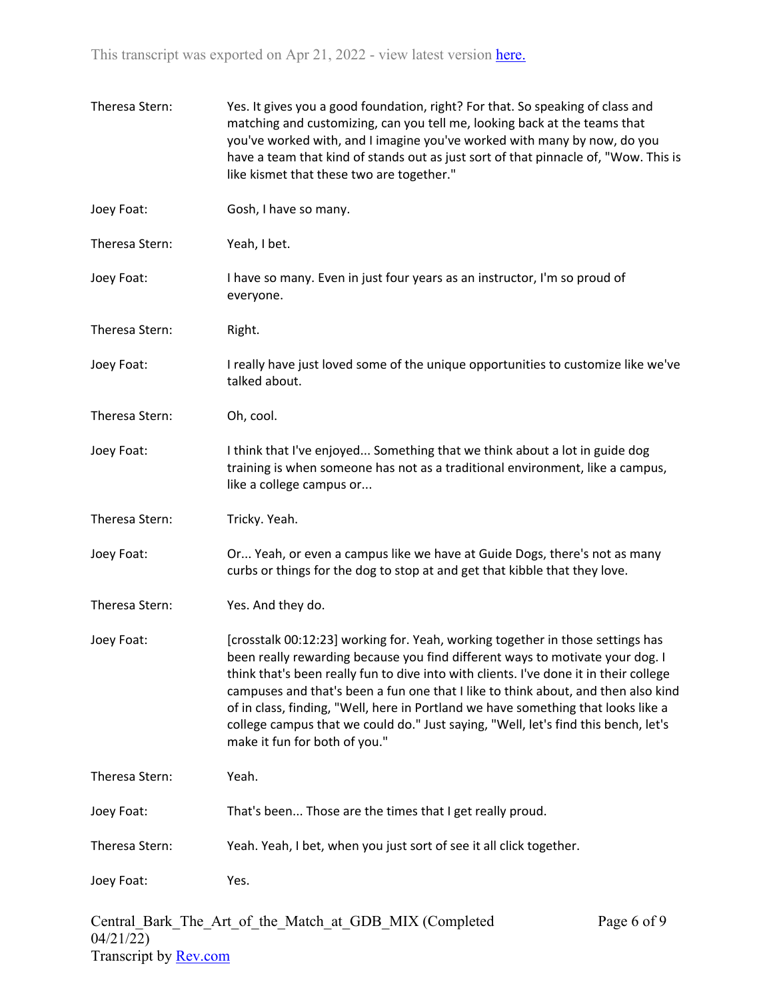| Theresa Stern: | Yes. It gives you a good foundation, right? For that. So speaking of class and<br>matching and customizing, can you tell me, looking back at the teams that<br>you've worked with, and I imagine you've worked with many by now, do you<br>have a team that kind of stands out as just sort of that pinnacle of, "Wow. This is<br>like kismet that these two are together."                                                                                                                                                                               |
|----------------|-----------------------------------------------------------------------------------------------------------------------------------------------------------------------------------------------------------------------------------------------------------------------------------------------------------------------------------------------------------------------------------------------------------------------------------------------------------------------------------------------------------------------------------------------------------|
| Joey Foat:     | Gosh, I have so many.                                                                                                                                                                                                                                                                                                                                                                                                                                                                                                                                     |
| Theresa Stern: | Yeah, I bet.                                                                                                                                                                                                                                                                                                                                                                                                                                                                                                                                              |
| Joey Foat:     | I have so many. Even in just four years as an instructor, I'm so proud of<br>everyone.                                                                                                                                                                                                                                                                                                                                                                                                                                                                    |
| Theresa Stern: | Right.                                                                                                                                                                                                                                                                                                                                                                                                                                                                                                                                                    |
| Joey Foat:     | I really have just loved some of the unique opportunities to customize like we've<br>talked about.                                                                                                                                                                                                                                                                                                                                                                                                                                                        |
| Theresa Stern: | Oh, cool.                                                                                                                                                                                                                                                                                                                                                                                                                                                                                                                                                 |
| Joey Foat:     | I think that I've enjoyed Something that we think about a lot in guide dog<br>training is when someone has not as a traditional environment, like a campus,<br>like a college campus or                                                                                                                                                                                                                                                                                                                                                                   |
| Theresa Stern: | Tricky. Yeah.                                                                                                                                                                                                                                                                                                                                                                                                                                                                                                                                             |
| Joey Foat:     | Or Yeah, or even a campus like we have at Guide Dogs, there's not as many<br>curbs or things for the dog to stop at and get that kibble that they love.                                                                                                                                                                                                                                                                                                                                                                                                   |
| Theresa Stern: | Yes. And they do.                                                                                                                                                                                                                                                                                                                                                                                                                                                                                                                                         |
| Joey Foat:     | [crosstalk 00:12:23] working for. Yeah, working together in those settings has<br>been really rewarding because you find different ways to motivate your dog. I<br>think that's been really fun to dive into with clients. I've done it in their college<br>campuses and that's been a fun one that I like to think about, and then also kind<br>of in class, finding, "Well, here in Portland we have something that looks like a<br>college campus that we could do." Just saying, "Well, let's find this bench, let's<br>make it fun for both of you." |
| Theresa Stern: | Yeah.                                                                                                                                                                                                                                                                                                                                                                                                                                                                                                                                                     |
| Joey Foat:     | That's been Those are the times that I get really proud.                                                                                                                                                                                                                                                                                                                                                                                                                                                                                                  |
| Theresa Stern: | Yeah. Yeah, I bet, when you just sort of see it all click together.                                                                                                                                                                                                                                                                                                                                                                                                                                                                                       |
| Joey Foat:     | Yes.                                                                                                                                                                                                                                                                                                                                                                                                                                                                                                                                                      |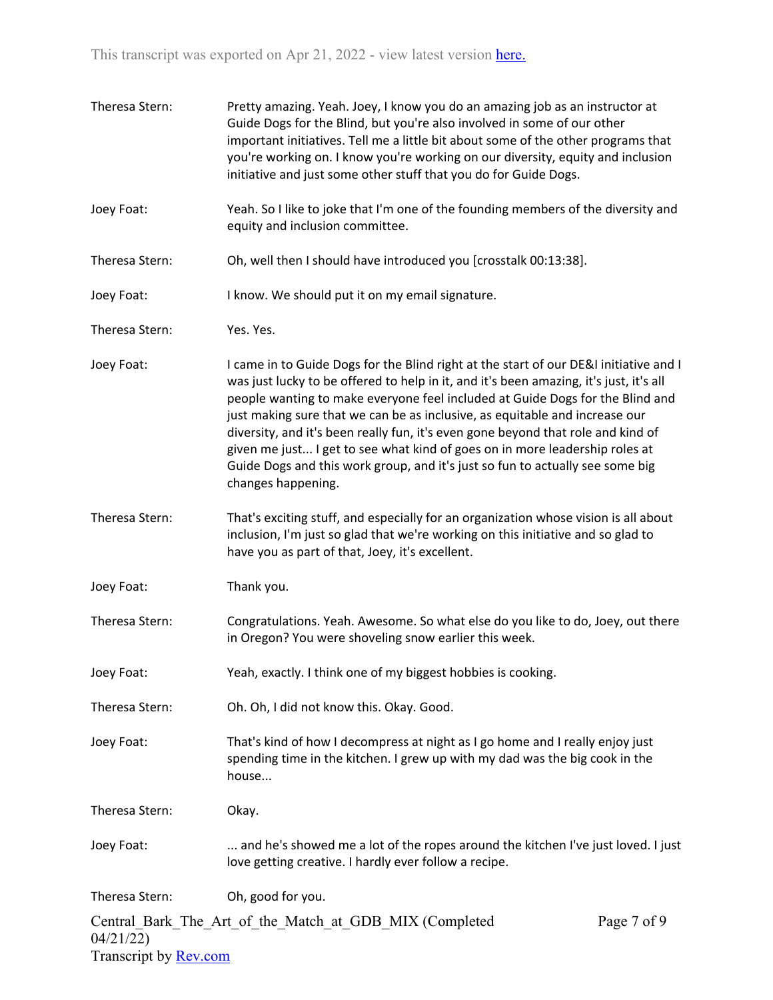| Theresa Stern: | Pretty amazing. Yeah. Joey, I know you do an amazing job as an instructor at<br>Guide Dogs for the Blind, but you're also involved in some of our other<br>important initiatives. Tell me a little bit about some of the other programs that<br>you're working on. I know you're working on our diversity, equity and inclusion<br>initiative and just some other stuff that you do for Guide Dogs.                                                                                                                                                                                                                       |
|----------------|---------------------------------------------------------------------------------------------------------------------------------------------------------------------------------------------------------------------------------------------------------------------------------------------------------------------------------------------------------------------------------------------------------------------------------------------------------------------------------------------------------------------------------------------------------------------------------------------------------------------------|
| Joey Foat:     | Yeah. So I like to joke that I'm one of the founding members of the diversity and<br>equity and inclusion committee.                                                                                                                                                                                                                                                                                                                                                                                                                                                                                                      |
| Theresa Stern: | Oh, well then I should have introduced you [crosstalk 00:13:38].                                                                                                                                                                                                                                                                                                                                                                                                                                                                                                                                                          |
| Joey Foat:     | I know. We should put it on my email signature.                                                                                                                                                                                                                                                                                                                                                                                                                                                                                                                                                                           |
| Theresa Stern: | Yes. Yes.                                                                                                                                                                                                                                                                                                                                                                                                                                                                                                                                                                                                                 |
| Joey Foat:     | I came in to Guide Dogs for the Blind right at the start of our DE&I initiative and I<br>was just lucky to be offered to help in it, and it's been amazing, it's just, it's all<br>people wanting to make everyone feel included at Guide Dogs for the Blind and<br>just making sure that we can be as inclusive, as equitable and increase our<br>diversity, and it's been really fun, it's even gone beyond that role and kind of<br>given me just I get to see what kind of goes on in more leadership roles at<br>Guide Dogs and this work group, and it's just so fun to actually see some big<br>changes happening. |
| Theresa Stern: | That's exciting stuff, and especially for an organization whose vision is all about<br>inclusion, I'm just so glad that we're working on this initiative and so glad to<br>have you as part of that, Joey, it's excellent.                                                                                                                                                                                                                                                                                                                                                                                                |
| Joey Foat:     | Thank you.                                                                                                                                                                                                                                                                                                                                                                                                                                                                                                                                                                                                                |
| Theresa Stern: | Congratulations. Yeah. Awesome. So what else do you like to do, Joey, out there<br>in Oregon? You were shoveling snow earlier this week.                                                                                                                                                                                                                                                                                                                                                                                                                                                                                  |
| Joey Foat:     | Yeah, exactly. I think one of my biggest hobbies is cooking.                                                                                                                                                                                                                                                                                                                                                                                                                                                                                                                                                              |
| Theresa Stern: | Oh. Oh, I did not know this. Okay. Good.                                                                                                                                                                                                                                                                                                                                                                                                                                                                                                                                                                                  |
| Joey Foat:     | That's kind of how I decompress at night as I go home and I really enjoy just<br>spending time in the kitchen. I grew up with my dad was the big cook in the<br>house                                                                                                                                                                                                                                                                                                                                                                                                                                                     |
| Theresa Stern: | Okay.                                                                                                                                                                                                                                                                                                                                                                                                                                                                                                                                                                                                                     |
| Joey Foat:     | and he's showed me a lot of the ropes around the kitchen I've just loved. I just<br>love getting creative. I hardly ever follow a recipe.                                                                                                                                                                                                                                                                                                                                                                                                                                                                                 |
| Theresa Stern: | Oh, good for you.                                                                                                                                                                                                                                                                                                                                                                                                                                                                                                                                                                                                         |
| 04/21/22)      | Central Bark The Art of the Match at GDB MIX (Completed<br>Page 7 of 9                                                                                                                                                                                                                                                                                                                                                                                                                                                                                                                                                    |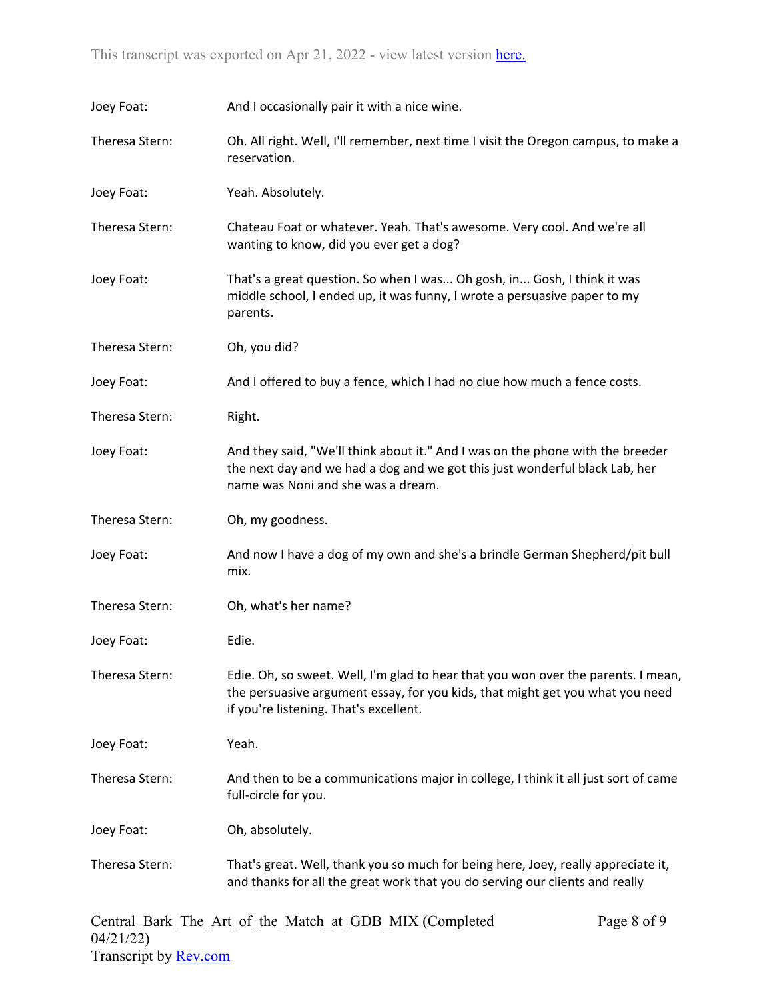| Joey Foat:     | And I occasionally pair it with a nice wine.                                                                                                                                                                 |
|----------------|--------------------------------------------------------------------------------------------------------------------------------------------------------------------------------------------------------------|
| Theresa Stern: | Oh. All right. Well, I'll remember, next time I visit the Oregon campus, to make a<br>reservation.                                                                                                           |
| Joey Foat:     | Yeah. Absolutely.                                                                                                                                                                                            |
| Theresa Stern: | Chateau Foat or whatever. Yeah. That's awesome. Very cool. And we're all<br>wanting to know, did you ever get a dog?                                                                                         |
| Joey Foat:     | That's a great question. So when I was Oh gosh, in Gosh, I think it was<br>middle school, I ended up, it was funny, I wrote a persuasive paper to my<br>parents.                                             |
| Theresa Stern: | Oh, you did?                                                                                                                                                                                                 |
| Joey Foat:     | And I offered to buy a fence, which I had no clue how much a fence costs.                                                                                                                                    |
| Theresa Stern: | Right.                                                                                                                                                                                                       |
| Joey Foat:     | And they said, "We'll think about it." And I was on the phone with the breeder<br>the next day and we had a dog and we got this just wonderful black Lab, her<br>name was Noni and she was a dream.          |
| Theresa Stern: | Oh, my goodness.                                                                                                                                                                                             |
| Joey Foat:     | And now I have a dog of my own and she's a brindle German Shepherd/pit bull<br>mix.                                                                                                                          |
| Theresa Stern: | Oh, what's her name?                                                                                                                                                                                         |
| Joey Foat:     | Edie.                                                                                                                                                                                                        |
| Theresa Stern: | Edie. Oh, so sweet. Well, I'm glad to hear that you won over the parents. I mean,<br>the persuasive argument essay, for you kids, that might get you what you need<br>if you're listening. That's excellent. |
| Joey Foat:     | Yeah.                                                                                                                                                                                                        |
| Theresa Stern: | And then to be a communications major in college, I think it all just sort of came<br>full-circle for you.                                                                                                   |
| Joey Foat:     | Oh, absolutely.                                                                                                                                                                                              |
| Theresa Stern: |                                                                                                                                                                                                              |